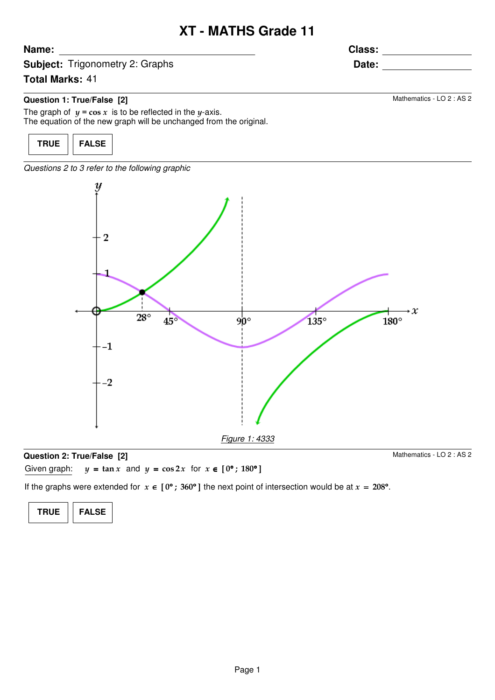## **XT - MATHS Grade 11**

**Class:**

**Subject:** Trigonometry 2: Graphs

## **Total Marks:** 41

**Name:**

## **Question 1: True/False [2]**

The graph of  $y = \cos x$  is to be reflected in the y-axis. The equation of the new graph will be unchanged from the original.



Questions 2 to 3 refer to the following graphic



### **Question 2: True/False [2]**

Mathematics - LO 2 : AS 2

Given graph:  $y = \tan x$  and  $y = \cos 2x$  for  $x \in [0^{\circ}; 180^{\circ}]$ 

If the graphs were extended for  $x \in [0^{\circ}; 360^{\circ}]$  the next point of intersection would be at  $x = 208^{\circ}$ .

**TRUE FALSE**

**Date:**

Mathematics - LO 2 : AS 2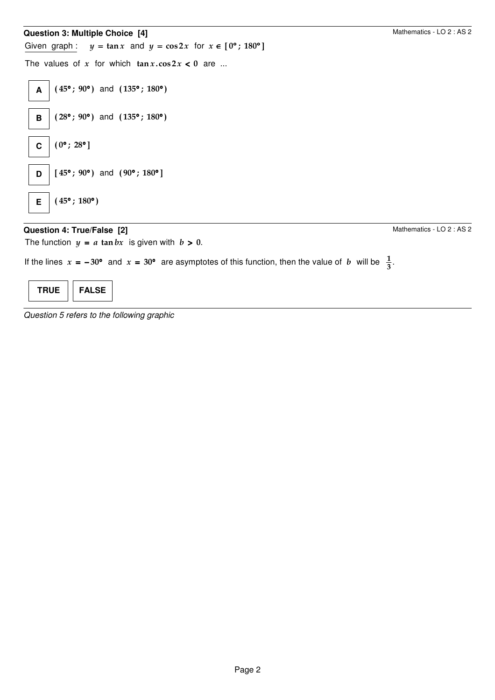# **Question 3: Multiple Choice [4]** Given graph:  $y = \tan x$  and  $y = \cos 2x$  for  $x \in [0^{\circ}; 180^{\circ}]$ The values of x for which  $\tan x \cdot \cos 2x < 0$  are ... Mathematics - LO 2 : AS 2 **A** (45°; 90°) and (135°; 180°) **B**  $(28°; 90°)$  and  $(135°; 180°)$ **C**  $(0^{\circ}; 28^{\circ})$ **D**  $\begin{bmatrix} 45^{\circ} \\ 90^{\circ} \end{bmatrix}$  and  $(90^{\circ} \\ 30^{\circ}$ ] **E**  $(45^{\circ}$ ; 180°)

## **Question 4: True/False [2]**

The function  $y = a \tan bx$  is given with  $b > 0$ .

Mathematics - LO 2 : AS 2

If the lines  $x = -30^{\circ}$  and  $x = 30^{\circ}$  are asymptotes of this function, then the value of b will be  $\frac{1}{3}$ .



Question 5 refers to the following graphic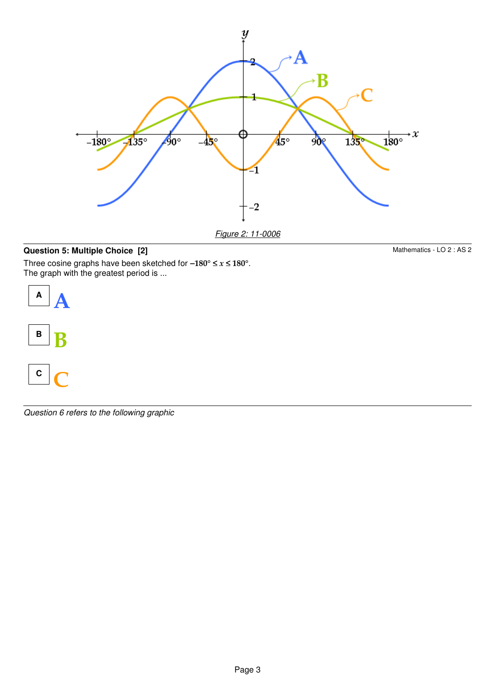

Figure 2: 11-0006

## **Question 5: Multiple Choice [2]**

Three cosine graphs have been sketched for –180° ≤  $x$  ≤ 180°. The graph with the greatest period is ...



Question 6 refers to the following graphic

Mathematics - LO 2 : AS 2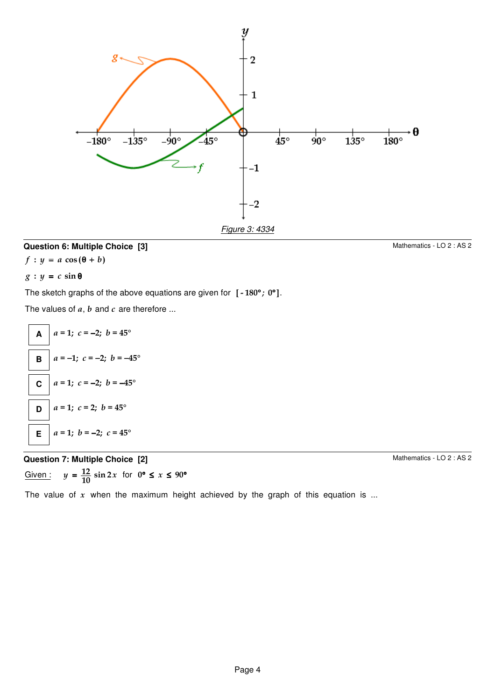

## **Question 6: Multiple Choice [3]**

 $f: y = a \cos(\theta + b)$ 

## $g: y = c \sin \theta$

The sketch graphs of the above equations are given for  $[-180^{\circ}, 0^{\circ}].$ 

The values of  $a, b$  and  $c$  are therefore ...



## **Question 7: Multiple Choice [2]**

Given:  $y = \frac{12}{10} \sin 2x$  for  $0^{\circ} \le x \le 90^{\circ}$ 

Mathematics - LO 2 : AS 2

The value of  $x$  when the maximum height achieved by the graph of this equation is ...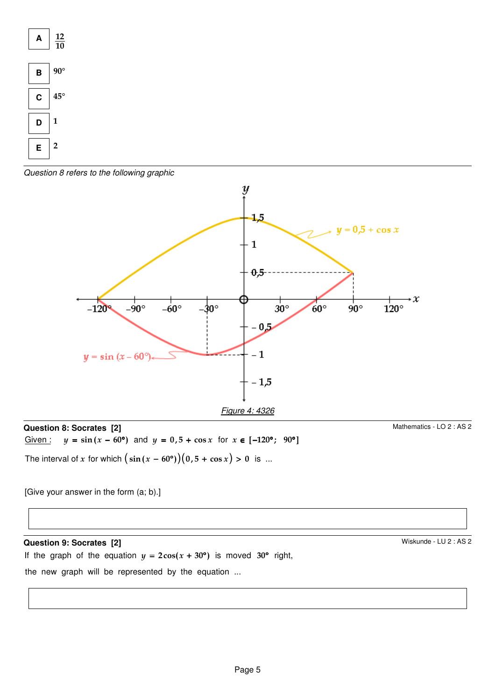

Question 8 refers to the following graphic



## **Question 8: Socrates [2]** Given:  $y = \sin (x - 60^\circ)$  and  $y = 0.5 + \cos x$  for  $x \in [-120^\circ; 90^\circ]$

The interval of  $x$  for which  $\big(\sin{(x - 60^\circ)}\big)(0,5 + \cos{x}) > 0$  is ...

Mathematics - LO 2 : AS 2

Wiskunde - LU 2 : AS 2

[Give your answer in the form (a; b).]

## **Question 9: Socrates [2]**

If the graph of the equation  $y = 2\cos(x + 30^{\circ})$  is moved 30° right,

the new graph will be represented by the equation ...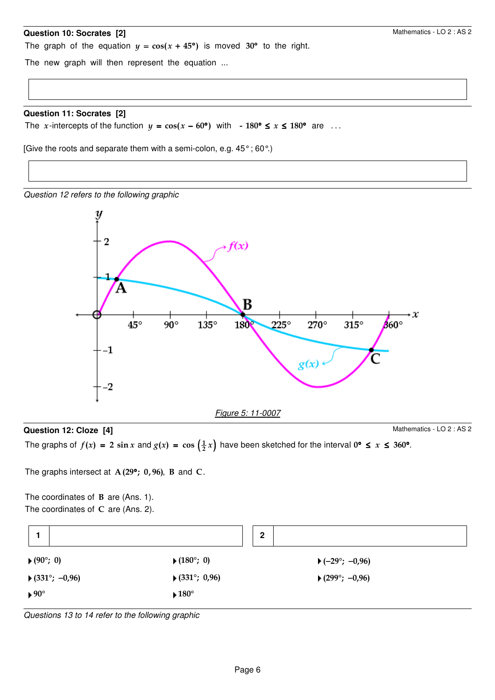#### **Question 10: Socrates [2]**

The graph of the equation  $y = cos(x + 45^{\circ})$  is moved 30° to the right.

The new graph will then represent the equation ...

#### **Question 11: Socrates [2]**

The x-intercepts of the function  $y = \cos(x - 60^{\circ})$  with  $- 180^{\circ} \le x \le 180^{\circ}$  are ...

[Give the roots and separate them with a semi-colon, e.g. 45° ; 60°.)

Question 12 refers to the following graphic



#### **Question 12: Cloze [4]**

Mathematics - LO 2 : AS 2

The graphs of  $f(x) = 2 \sin x$  and  $g(x) = \cos(\frac{1}{2}x)$  have been sketched for the interval  $0^{\circ} \le x \le 360^{\circ}$ .

The graphs intersect at  $A(29°; 0,96)$ , B and C.

The coordinates of  $B$  are (Ans. 1). The coordinates of  $C$  are (Ans. 2).

|                                  | $\mathbf 2$                          |                          |
|----------------------------------|--------------------------------------|--------------------------|
| ▶ $(90^{\circ}; 0)$              | ▶ $(180^{\circ}; 0)$                 | ▶ $(-29^{\circ}; -0.96)$ |
| ▶ $(331^{\circ}; -0.96)$         | ▶ $(331^{\circ}; 0.96)$              | ▶ $(299^\circ; -0.96)$   |
| $\blacktriangleright 90^{\circ}$ | $\blacktriangleright$ 180 $^{\circ}$ |                          |

Questions 13 to 14 refer to the following graphic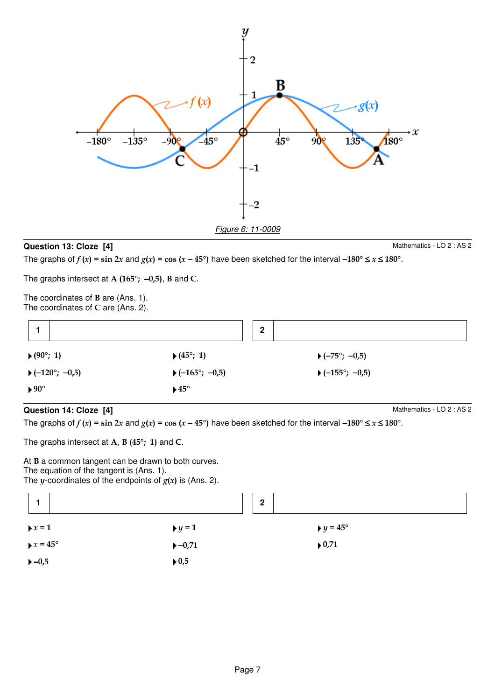

## **Question 13: Cloze [4]**

Mathematics - LO 2 : AS 2

The graphs of  $f(x) = \sin 2x$  and  $g(x) = \cos (x - 45^\circ)$  have been sketched for the interval -180°  $\le x \le 180^\circ$ .

The graphs intersect at A (165°;  $-0.5$ ), B and C.

The coordinates of B are (Ans. 1). The coordinates of C are (Ans. 2).

|                                  | $\mathbf{2}$                        |                          |
|----------------------------------|-------------------------------------|--------------------------|
| ▶ $(90^{\circ}; 1)$              | ▶ $(45^{\circ}; 1)$                 | ▶ $(-75^{\circ}; -0.5)$  |
| ▶( $-120^{\circ}$ ; $-0.5$ )     | ▶( $-165^{\circ}$ ; $-0.5$ )        | ▶ $(-155^{\circ}; -0.5)$ |
| $\blacktriangleright 90^{\circ}$ | $\blacktriangleright$ 45 $^{\circ}$ |                          |

## **Question 14: Cloze [4]**

Mathematics - LO 2 : AS 2

The graphs of  $f(x) = \sin 2x$  and  $g(x) = \cos (x - 45^\circ)$  have been sketched for the interval -180°  $\le x \le 180^\circ$ .

The graphs intersect at A, B  $(45^{\circ}; 1)$  and C.

At B a common tangent can be drawn to both curves. The equation of the tangent is (Ans. 1). The y-coordinates of the endpoints of  $g(x)$  is (Ans. 2).

|                                 |                             | $\mathbf{2}$ |                               |
|---------------------------------|-----------------------------|--------------|-------------------------------|
| $\triangleright x = 1$          | $\blacktriangleright$ y = 1 |              | $\blacktriangleright$ y = 45° |
| $\triangleright x = 45^{\circ}$ | $-0,71$                     |              | $\blacktriangleright$ 0,71    |
| $-0,5$                          | $\blacktriangleright$ 0,5   |              |                               |